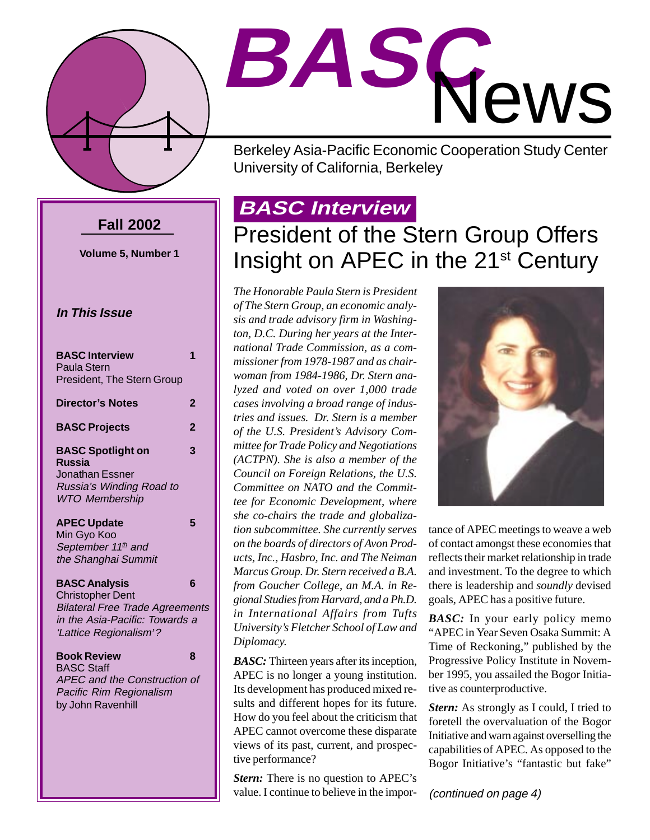

# **BASC** News

Berkeley Asia-Pacific Economic Cooperation Study Center University of California, Berkeley

#### **Fall 2002**

**Volume 5, Number 1**

#### **In This Issue**

| <b>BASC Interview</b><br><b>Paula Stern</b>                                                                                                           | 1              |
|-------------------------------------------------------------------------------------------------------------------------------------------------------|----------------|
| President, The Stern Group                                                                                                                            |                |
| <b>Director's Notes</b>                                                                                                                               | $\mathbf 2$    |
| <b>BASC Projects</b>                                                                                                                                  | $\overline{2}$ |
| <b>BASC Spotlight on</b><br><b>Russia</b><br><b>Jonathan Essner</b>                                                                                   | 3              |
| Russia's Winding Road to<br><b>WTO Membership</b>                                                                                                     |                |
| <b>APEC Update</b><br>Min Gyo Koo<br>September 11 <sup>th</sup> and<br>the Shanghai Summit                                                            | 5              |
| <b>BASC Analysis</b><br><b>Christopher Dent</b><br><b>Bilateral Free Trade Agreements</b><br>in the Asia-Pacific: Towards a<br>'Lattice Regionalism'? | 6              |
| <b>Book Review</b><br><b>BASC Staff</b><br>APEC and the Construction of<br>Pacific Rim Regionalism<br>by John Ravenhill                               | 8              |
|                                                                                                                                                       |                |

## **BASC Interview**

# President of the Stern Group Offers Insight on APEC in the 21<sup>st</sup> Century

*The Honorable Paula Stern is President of The Stern Group, an economic analysis and trade advisory firm in Washington, D.C. During her years at the International Trade Commission, as a commissioner from 1978-1987 and as chairwoman from 1984-1986, Dr. Stern analyzed and voted on over 1,000 trade cases involving a broad range of industries and issues. Dr. Stern is a member of the U.S. President's Advisory Committee for Trade Policy and Negotiations (ACTPN). She is also a member of the Council on Foreign Relations, the U.S. Committee on NATO and the Committee for Economic Development, where she co-chairs the trade and globalization subcommittee. She currently serves on the boards of directors of Avon Products, Inc., Hasbro, Inc. and The Neiman Marcus Group. Dr. Stern received a B.A. from Goucher College, an M.A. in Regional Studies from Harvard, and a Ph.D. in International Affairs from Tufts University's Fletcher School of Law and Diplomacy.*

*BASC:* Thirteen years after its inception, APEC is no longer a young institution. Its development has produced mixed results and different hopes for its future. How do you feel about the criticism that APEC cannot overcome these disparate views of its past, current, and prospective performance?

*Stern:* There is no question to APEC's value. I continue to believe in the impor-



tance of APEC meetings to weave a web of contact amongst these economies that reflects their market relationship in trade and investment. To the degree to which there is leadership and *soundly* devised goals, APEC has a positive future.

*BASC:* In your early policy memo "APEC in Year Seven Osaka Summit: A Time of Reckoning," published by the Progressive Policy Institute in November 1995, you assailed the Bogor Initiative as counterproductive.

*Stern:* As strongly as I could, I tried to foretell the overvaluation of the Bogor Initiative and warn against overselling the capabilities of APEC. As opposed to the Bogor Initiative's "fantastic but fake"

(continued on page 4)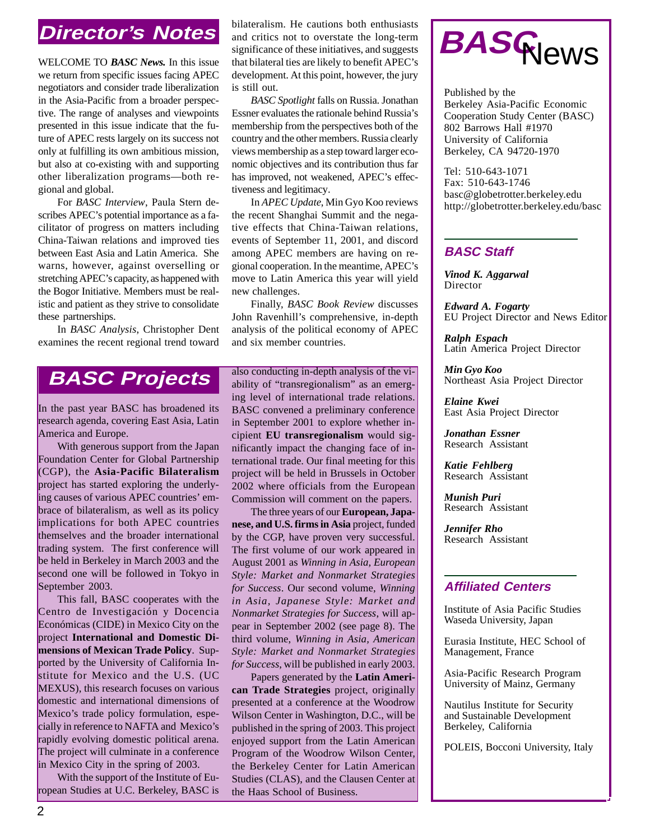### **Director's Notes**

WELCOME TO *BASC News.* In this issue we return from specific issues facing APEC negotiators and consider trade liberalization in the Asia-Pacific from a broader perspective. The range of analyses and viewpoints presented in this issue indicate that the future of APEC rests largely on its success not only at fulfilling its own ambitious mission, but also at co-existing with and supporting other liberalization programs—both regional and global.

For *BASC Interview*, Paula Stern describes APEC's potential importance as a facilitator of progress on matters including China-Taiwan relations and improved ties between East Asia and Latin America. She warns, however, against overselling or stretching APEC's capacity, as happened with the Bogor Initiative. Members must be realistic and patient as they strive to consolidate these partnerships.

In *BASC Analysis*, Christopher Dent examines the recent regional trend toward

bilateralism. He cautions both enthusiasts and critics not to overstate the long-term significance of these initiatives, and suggests that bilateral ties are likely to benefit APEC's development. At this point, however, the jury is still out.

*BASC Spotlight* falls on Russia. Jonathan Essner evaluates the rationale behind Russia's membership from the perspectives both of the country and the other members. Russia clearly views membership as a step toward larger economic objectives and its contribution thus far has improved, not weakened, APEC's effectiveness and legitimacy.

In *APEC Update*, Min Gyo Koo reviews the recent Shanghai Summit and the negative effects that China-Taiwan relations, events of September 11, 2001, and discord among APEC members are having on regional cooperation. In the meantime, APEC's move to Latin America this year will yield new challenges.

Finally, *BASC Book Review* discusses John Ravenhill's comprehensive, in-depth analysis of the political economy of APEC and six member countries.

#### **BASC Projects**

In the past year BASC has broadened its research agenda, covering East Asia, Latin America and Europe.

With generous support from the Japan Foundation Center for Global Partnership (CGP), the **Asia-Pacific Bilateralism** project has started exploring the underlying causes of various APEC countries' embrace of bilateralism, as well as its policy implications for both APEC countries themselves and the broader international trading system. The first conference will be held in Berkeley in March 2003 and the second one will be followed in Tokyo in September 2003.

This fall, BASC cooperates with the Centro de Investigación y Docencia Económicas (CIDE) in Mexico City on the project **International and Domestic Dimensions of Mexican Trade Policy**. Supported by the University of California Institute for Mexico and the U.S. (UC MEXUS), this research focuses on various domestic and international dimensions of Mexico's trade policy formulation, especially in reference to NAFTA and Mexico's rapidly evolving domestic political arena. The project will culminate in a conference in Mexico City in the spring of 2003.

With the support of the Institute of European Studies at U.C. Berkeley, BASC is also conducting in-depth analysis of the viability of "transregionalism" as an emerging level of international trade relations. BASC convened a preliminary conference in September 2001 to explore whether incipient **EU transregionalism** would significantly impact the changing face of international trade. Our final meeting for this project will be held in Brussels in October 2002 where officials from the European Commission will comment on the papers.

The three years of our **European, Japanese, and U.S. firms in Asia** project, funded by the CGP, have proven very successful. The first volume of our work appeared in August 2001 as *Winning in Asia, European Style: Market and Nonmarket Strategies for Success*. Our second volume, *Winning in Asia, Japanese Style: Market and Nonmarket Strategies for Success*, will appear in September 2002 (see page 8). The third volume, *Winning in Asia, American Style: Market and Nonmarket Strategies for Success*, will be published in early 2003.

Papers generated by the **Latin American Trade Strategies** project, originally presented at a conference at the Woodrow Wilson Center in Washington, D.C., will be published in the spring of 2003. This project enjoyed support from the Latin American Program of the Woodrow Wilson Center, the Berkeley Center for Latin American Studies (CLAS), and the Clausen Center at the Haas School of Business.



Published by the Berkeley Asia-Pacific Economic Cooperation Study Center (BASC) 802 Barrows Hall #1970 University of California Berkeley, CA 94720-1970

Tel: 510-643-1071 Fax: 510-643-1746 basc@globetrotter.berkeley.edu http://globetrotter.berkeley.edu/basc

#### **BASC Staff**

*Vinod K. Aggarwal* Director

*Edward A. Fogarty* EU Project Director and News Editor

*Ralph Espach* Latin America Project Director

*Min Gyo Koo* Northeast Asia Project Director

*Elaine Kwei* East Asia Project Director

*Jonathan Essner* Research Assistant

*Katie Fehlberg* Research Assistant

*Munish Puri* Research Assistant

*Jennifer Rho* Research Assistant

#### **Affiliated Centers**

Institute of Asia Pacific Studies Waseda University, Japan

Eurasia Institute, HEC School of Management, France

Asia-Pacific Research Program University of Mainz, Germany

Nautilus Institute for Security and Sustainable Development Berkeley, California

POLEIS, Bocconi University, Italy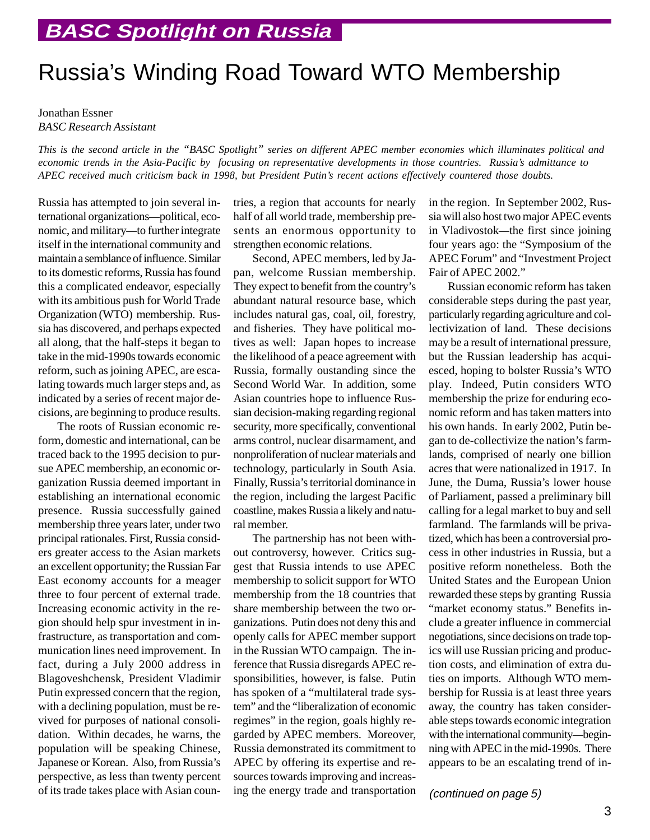# Russia's Winding Road Toward WTO Membership

#### Jonathan Essner *BASC Research Assistant*

*This is the second article in the "BASC Spotlight" series on different APEC member economies which illuminates political and economic trends in the Asia-Pacific by focusing on representative developments in those countries. Russia's admittance to APEC received much criticism back in 1998, but President Putin's recent actions effectively countered those doubts.*

Russia has attempted to join several international organizations—political, economic, and military—to further integrate itself in the international community and maintain a semblance of influence. Similar to its domestic reforms, Russia has found this a complicated endeavor, especially with its ambitious push for World Trade Organization (WTO) membership. Russia has discovered, and perhaps expected all along, that the half-steps it began to take in the mid-1990s towards economic reform, such as joining APEC, are escalating towards much larger steps and, as indicated by a series of recent major decisions, are beginning to produce results.

The roots of Russian economic reform, domestic and international, can be traced back to the 1995 decision to pursue APEC membership, an economic organization Russia deemed important in establishing an international economic presence. Russia successfully gained membership three years later, under two principal rationales. First, Russia considers greater access to the Asian markets an excellent opportunity; the Russian Far East economy accounts for a meager three to four percent of external trade. Increasing economic activity in the region should help spur investment in infrastructure, as transportation and communication lines need improvement. In fact, during a July 2000 address in Blagoveshchensk, President Vladimir Putin expressed concern that the region, with a declining population, must be revived for purposes of national consolidation. Within decades, he warns, the population will be speaking Chinese, Japanese or Korean. Also, from Russia's perspective, as less than twenty percent of its trade takes place with Asian countries, a region that accounts for nearly half of all world trade, membership presents an enormous opportunity to strengthen economic relations.

Second, APEC members, led by Japan, welcome Russian membership. They expect to benefit from the country's abundant natural resource base, which includes natural gas, coal, oil, forestry, and fisheries. They have political motives as well: Japan hopes to increase the likelihood of a peace agreement with Russia, formally oustanding since the Second World War. In addition, some Asian countries hope to influence Russian decision-making regarding regional security, more specifically, conventional arms control, nuclear disarmament, and nonproliferation of nuclear materials and technology, particularly in South Asia. Finally, Russia's territorial dominance in the region, including the largest Pacific coastline, makes Russia a likely and natural member.

The partnership has not been without controversy, however. Critics suggest that Russia intends to use APEC membership to solicit support for WTO membership from the 18 countries that share membership between the two organizations. Putin does not deny this and openly calls for APEC member support in the Russian WTO campaign. The inference that Russia disregards APEC responsibilities, however, is false. Putin has spoken of a "multilateral trade system" and the "liberalization of economic regimes" in the region, goals highly regarded by APEC members. Moreover, Russia demonstrated its commitment to APEC by offering its expertise and resources towards improving and increasing the energy trade and transportation in the region. In September 2002, Russia will also host two major APEC events in Vladivostok—the first since joining four years ago: the "Symposium of the APEC Forum" and "Investment Project Fair of APEC 2002."

Russian economic reform has taken considerable steps during the past year, particularly regarding agriculture and collectivization of land. These decisions may be a result of international pressure, but the Russian leadership has acquiesced, hoping to bolster Russia's WTO play. Indeed, Putin considers WTO membership the prize for enduring economic reform and has taken matters into his own hands. In early 2002, Putin began to de-collectivize the nation's farmlands, comprised of nearly one billion acres that were nationalized in 1917. In June, the Duma, Russia's lower house of Parliament, passed a preliminary bill calling for a legal market to buy and sell farmland. The farmlands will be privatized, which has been a controversial process in other industries in Russia, but a positive reform nonetheless. Both the United States and the European Union rewarded these steps by granting Russia "market economy status." Benefits include a greater influence in commercial negotiations, since decisions on trade topics will use Russian pricing and production costs, and elimination of extra duties on imports. Although WTO membership for Russia is at least three years away, the country has taken considerable steps towards economic integration with the international community—beginning with APEC in the mid-1990s. There appears to be an escalating trend of in-

(continued on page 5)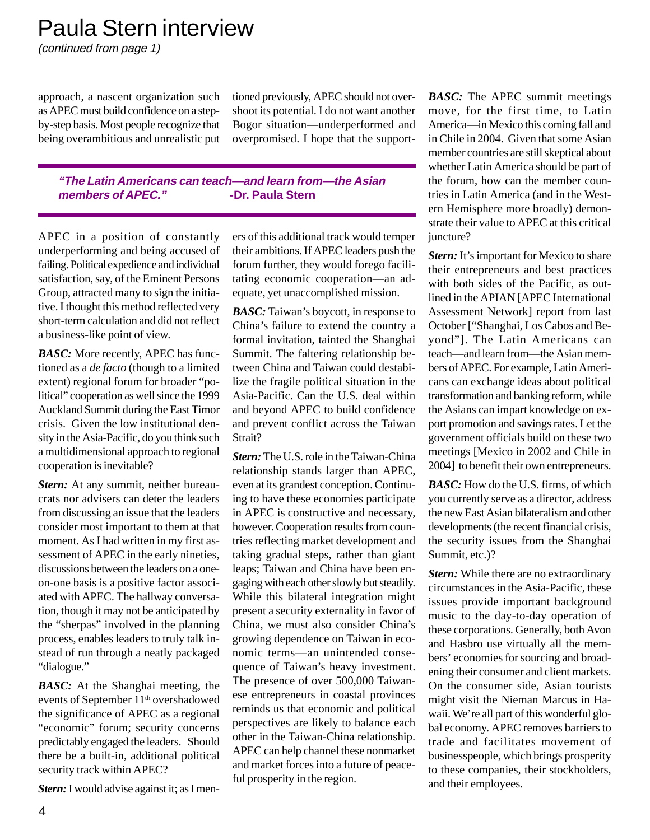## Paula Stern interview

(continued from page 1)

approach, a nascent organization such as APEC must build confidence on a stepby-step basis. Most people recognize that being overambitious and unrealistic put tioned previously, APEC should not overshoot its potential. I do not want another Bogor situation—underperformed and overpromised. I hope that the support-

#### **"The Latin Americans can teach—and learn from—the Asian members of APEC." -Dr. Paula Stern**

APEC in a position of constantly underperforming and being accused of failing. Political expedience and individual satisfaction, say, of the Eminent Persons Group, attracted many to sign the initiative. I thought this method reflected very short-term calculation and did not reflect a business-like point of view.

*BASC:* More recently, APEC has functioned as a *de facto* (though to a limited extent) regional forum for broader "political" cooperation as well since the 1999 Auckland Summit during the East Timor crisis. Given the low institutional density in the Asia-Pacific, do you think such a multidimensional approach to regional cooperation is inevitable?

*Stern:* At any summit, neither bureaucrats nor advisers can deter the leaders from discussing an issue that the leaders consider most important to them at that moment. As I had written in my first assessment of APEC in the early nineties, discussions between the leaders on a oneon-one basis is a positive factor associated with APEC. The hallway conversation, though it may not be anticipated by the "sherpas" involved in the planning process, enables leaders to truly talk instead of run through a neatly packaged "dialogue."

*BASC:* At the Shanghai meeting, the events of September 11<sup>th</sup> overshadowed the significance of APEC as a regional "economic" forum; security concerns predictably engaged the leaders. Should there be a built-in, additional political security track within APEC?

*Stern:* I would advise against it; as I men-

ers of this additional track would temper their ambitions. If APEC leaders push the forum further, they would forego facilitating economic cooperation—an adequate, yet unaccomplished mission.

*BASC:* Taiwan's boycott, in response to China's failure to extend the country a formal invitation, tainted the Shanghai Summit. The faltering relationship between China and Taiwan could destabilize the fragile political situation in the Asia-Pacific. Can the U.S. deal within and beyond APEC to build confidence and prevent conflict across the Taiwan Strait?

*Stern:* The U.S. role in the Taiwan-China relationship stands larger than APEC, even at its grandest conception. Continuing to have these economies participate in APEC is constructive and necessary, however. Cooperation results from countries reflecting market development and taking gradual steps, rather than giant leaps; Taiwan and China have been engaging with each other slowly but steadily. While this bilateral integration might present a security externality in favor of China, we must also consider China's growing dependence on Taiwan in economic terms—an unintended consequence of Taiwan's heavy investment. The presence of over 500,000 Taiwanese entrepreneurs in coastal provinces reminds us that economic and political perspectives are likely to balance each other in the Taiwan-China relationship. APEC can help channel these nonmarket and market forces into a future of peaceful prosperity in the region.

*BASC:* The APEC summit meetings move, for the first time, to Latin America—in Mexico this coming fall and in Chile in 2004. Given that some Asian member countries are still skeptical about whether Latin America should be part of the forum, how can the member countries in Latin America (and in the Western Hemisphere more broadly) demonstrate their value to APEC at this critical juncture?

**Stern:** It's important for Mexico to share their entrepreneurs and best practices with both sides of the Pacific, as outlined in the APIAN [APEC International Assessment Network] report from last October ["Shanghai, Los Cabos and Beyond"]. The Latin Americans can teach—and learn from—the Asian members of APEC. For example, Latin Americans can exchange ideas about political transformation and banking reform, while the Asians can impart knowledge on export promotion and savings rates. Let the government officials build on these two meetings [Mexico in 2002 and Chile in 2004] to benefit their own entrepreneurs.

*BASC:* How do the U.S. firms, of which you currently serve as a director, address the new East Asian bilateralism and other developments (the recent financial crisis, the security issues from the Shanghai Summit, etc.)?

*Stern:* While there are no extraordinary circumstances in the Asia-Pacific, these issues provide important background music to the day-to-day operation of these corporations. Generally, both Avon and Hasbro use virtually all the members' economies for sourcing and broadening their consumer and client markets. On the consumer side, Asian tourists might visit the Nieman Marcus in Hawaii. We're all part of this wonderful global economy. APEC removes barriers to trade and facilitates movement of businesspeople, which brings prosperity to these companies, their stockholders, and their employees.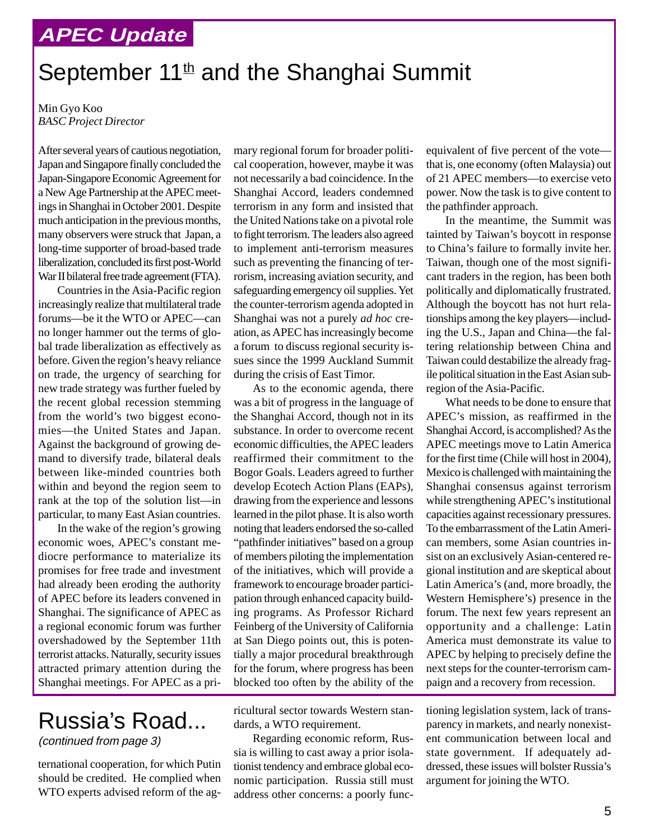#### **APEC Update**

## September  $11<sup>th</sup>$  and the Shanghai Summit

Min Gyo Koo *BASC Project Director*

After several years of cautious negotiation, Japan and Singapore finally concluded the Japan-Singapore Economic Agreement for a New Age Partnership at the APEC meetings in Shanghai in October 2001. Despite much anticipation in the previous months, many observers were struck that Japan, a long-time supporter of broad-based trade liberalization, concluded its first post-World War II bilateral free trade agreement (FTA).

Countries in the Asia-Pacific region increasingly realize that multilateral trade forums—be it the WTO or APEC—can no longer hammer out the terms of global trade liberalization as effectively as before. Given the region's heavy reliance on trade, the urgency of searching for new trade strategy was further fueled by the recent global recession stemming from the world's two biggest economies—the United States and Japan. Against the background of growing demand to diversify trade, bilateral deals between like-minded countries both within and beyond the region seem to rank at the top of the solution list—in particular, to many East Asian countries.

In the wake of the region's growing economic woes, APEC's constant mediocre performance to materialize its promises for free trade and investment had already been eroding the authority of APEC before its leaders convened in Shanghai. The significance of APEC as a regional economic forum was further overshadowed by the September 11th terrorist attacks. Naturally, security issues attracted primary attention during the Shanghai meetings. For APEC as a pri-

# Russia's Road...

(continued from page 3)

ternational cooperation, for which Putin should be credited. He complied when WTO experts advised reform of the ag-

mary regional forum for broader political cooperation, however, maybe it was not necessarily a bad coincidence. In the Shanghai Accord, leaders condemned terrorism in any form and insisted that the United Nations take on a pivotal role to fight terrorism. The leaders also agreed to implement anti-terrorism measures such as preventing the financing of terrorism, increasing aviation security, and safeguarding emergency oil supplies. Yet the counter-terrorism agenda adopted in Shanghai was not a purely *ad hoc* creation, as APEC has increasingly become a forum to discuss regional security issues since the 1999 Auckland Summit during the crisis of East Timor.

As to the economic agenda, there was a bit of progress in the language of the Shanghai Accord, though not in its substance. In order to overcome recent economic difficulties, the APEC leaders reaffirmed their commitment to the Bogor Goals. Leaders agreed to further develop Ecotech Action Plans (EAPs), drawing from the experience and lessons learned in the pilot phase. It is also worth noting that leaders endorsed the so-called "pathfinder initiatives" based on a group of members piloting the implementation of the initiatives, which will provide a framework to encourage broader participation through enhanced capacity building programs. As Professor Richard Feinberg of the University of California at San Diego points out, this is potentially a major procedural breakthrough for the forum, where progress has been blocked too often by the ability of the

ricultural sector towards Western standards, a WTO requirement.

Regarding economic reform, Russia is willing to cast away a prior isolationist tendency and embrace global economic participation. Russia still must address other concerns: a poorly funcequivalent of five percent of the vote that is, one economy (often Malaysia) out of 21 APEC members—to exercise veto power. Now the task is to give content to the pathfinder approach.

In the meantime, the Summit was tainted by Taiwan's boycott in response to China's failure to formally invite her. Taiwan, though one of the most significant traders in the region, has been both politically and diplomatically frustrated. Although the boycott has not hurt relationships among the key players—including the U.S., Japan and China—the faltering relationship between China and Taiwan could destabilize the already fragile political situation in the East Asian subregion of the Asia-Pacific.

What needs to be done to ensure that APEC's mission, as reaffirmed in the Shanghai Accord, is accomplished? As the APEC meetings move to Latin America for the first time (Chile will host in 2004), Mexico is challenged with maintaining the Shanghai consensus against terrorism while strengthening APEC's institutional capacities against recessionary pressures. To the embarrassment of the Latin American members, some Asian countries insist on an exclusively Asian-centered regional institution and are skeptical about Latin America's (and, more broadly, the Western Hemisphere's) presence in the forum. The next few years represent an opportunity and a challenge: Latin America must demonstrate its value to APEC by helping to precisely define the next steps for the counter-terrorism campaign and a recovery from recession.

tioning legislation system, lack of transparency in markets, and nearly nonexistent communication between local and state government. If adequately addressed, these issues will bolster Russia's argument for joining the WTO.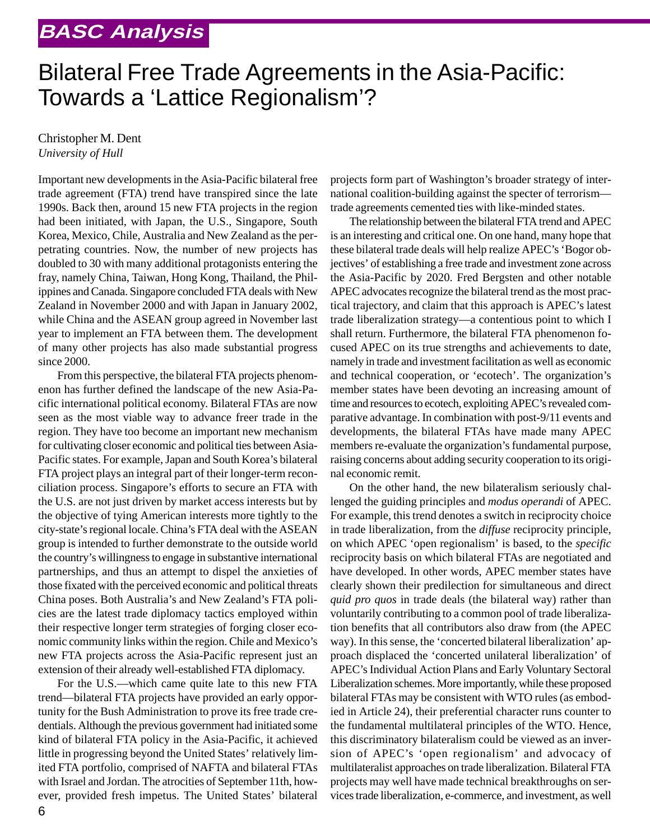## Bilateral Free Trade Agreements in the Asia-Pacific: Towards a 'Lattice Regionalism'?

#### Christopher M. Dent *University of Hull*

Important new developments in the Asia-Pacific bilateral free trade agreement (FTA) trend have transpired since the late 1990s. Back then, around 15 new FTA projects in the region had been initiated, with Japan, the U.S., Singapore, South Korea, Mexico, Chile, Australia and New Zealand as the perpetrating countries. Now, the number of new projects has doubled to 30 with many additional protagonists entering the fray, namely China, Taiwan, Hong Kong, Thailand, the Philippines and Canada. Singapore concluded FTA deals with New Zealand in November 2000 and with Japan in January 2002, while China and the ASEAN group agreed in November last year to implement an FTA between them. The development of many other projects has also made substantial progress since 2000.

From this perspective, the bilateral FTA projects phenomenon has further defined the landscape of the new Asia-Pacific international political economy. Bilateral FTAs are now seen as the most viable way to advance freer trade in the region. They have too become an important new mechanism for cultivating closer economic and political ties between Asia-Pacific states. For example, Japan and South Korea's bilateral FTA project plays an integral part of their longer-term reconciliation process. Singapore's efforts to secure an FTA with the U.S. are not just driven by market access interests but by the objective of tying American interests more tightly to the city-state's regional locale. China's FTA deal with the ASEAN group is intended to further demonstrate to the outside world the country's willingness to engage in substantive international partnerships, and thus an attempt to dispel the anxieties of those fixated with the perceived economic and political threats China poses. Both Australia's and New Zealand's FTA policies are the latest trade diplomacy tactics employed within their respective longer term strategies of forging closer economic community links within the region. Chile and Mexico's new FTA projects across the Asia-Pacific represent just an extension of their already well-established FTA diplomacy.

For the U.S.—which came quite late to this new FTA trend—bilateral FTA projects have provided an early opportunity for the Bush Administration to prove its free trade credentials. Although the previous government had initiated some kind of bilateral FTA policy in the Asia-Pacific, it achieved little in progressing beyond the United States' relatively limited FTA portfolio, comprised of NAFTA and bilateral FTAs with Israel and Jordan. The atrocities of September 11th, however, provided fresh impetus. The United States' bilateral

projects form part of Washington's broader strategy of international coalition-building against the specter of terrorism trade agreements cemented ties with like-minded states.

The relationship between the bilateral FTA trend and APEC is an interesting and critical one. On one hand, many hope that these bilateral trade deals will help realize APEC's 'Bogor objectives' of establishing a free trade and investment zone across the Asia-Pacific by 2020. Fred Bergsten and other notable APEC advocates recognize the bilateral trend as the most practical trajectory, and claim that this approach is APEC's latest trade liberalization strategy—a contentious point to which I shall return. Furthermore, the bilateral FTA phenomenon focused APEC on its true strengths and achievements to date, namely in trade and investment facilitation as well as economic and technical cooperation, or 'ecotech'. The organization's member states have been devoting an increasing amount of time and resources to ecotech, exploiting APEC's revealed comparative advantage. In combination with post-9/11 events and developments, the bilateral FTAs have made many APEC members re-evaluate the organization's fundamental purpose, raising concerns about adding security cooperation to its original economic remit.

On the other hand, the new bilateralism seriously challenged the guiding principles and *modus operandi* of APEC. For example, this trend denotes a switch in reciprocity choice in trade liberalization, from the *diffuse* reciprocity principle, on which APEC 'open regionalism' is based, to the *specific* reciprocity basis on which bilateral FTAs are negotiated and have developed. In other words, APEC member states have clearly shown their predilection for simultaneous and direct *quid pro quos* in trade deals (the bilateral way) rather than voluntarily contributing to a common pool of trade liberalization benefits that all contributors also draw from (the APEC way). In this sense, the 'concerted bilateral liberalization' approach displaced the 'concerted unilateral liberalization' of APEC's Individual Action Plans and Early Voluntary Sectoral Liberalization schemes. More importantly, while these proposed bilateral FTAs may be consistent with WTO rules (as embodied in Article 24), their preferential character runs counter to the fundamental multilateral principles of the WTO. Hence, this discriminatory bilateralism could be viewed as an inversion of APEC's 'open regionalism' and advocacy of multilateralist approaches on trade liberalization. Bilateral FTA projects may well have made technical breakthroughs on services trade liberalization, e-commerce, and investment, as well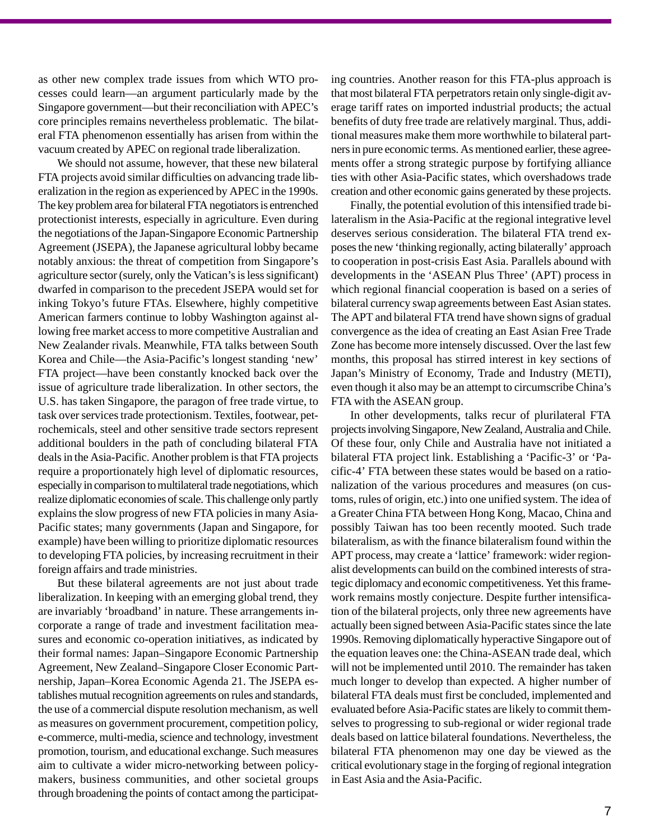as other new complex trade issues from which WTO processes could learn—an argument particularly made by the Singapore government—but their reconciliation with APEC's core principles remains nevertheless problematic. The bilateral FTA phenomenon essentially has arisen from within the vacuum created by APEC on regional trade liberalization.

We should not assume, however, that these new bilateral FTA projects avoid similar difficulties on advancing trade liberalization in the region as experienced by APEC in the 1990s. The key problem area for bilateral FTA negotiators is entrenched protectionist interests, especially in agriculture. Even during the negotiations of the Japan-Singapore Economic Partnership Agreement (JSEPA), the Japanese agricultural lobby became notably anxious: the threat of competition from Singapore's agriculture sector (surely, only the Vatican's is less significant) dwarfed in comparison to the precedent JSEPA would set for inking Tokyo's future FTAs. Elsewhere, highly competitive American farmers continue to lobby Washington against allowing free market access to more competitive Australian and New Zealander rivals. Meanwhile, FTA talks between South Korea and Chile—the Asia-Pacific's longest standing 'new' FTA project—have been constantly knocked back over the issue of agriculture trade liberalization. In other sectors, the U.S. has taken Singapore, the paragon of free trade virtue, to task over services trade protectionism. Textiles, footwear, petrochemicals, steel and other sensitive trade sectors represent additional boulders in the path of concluding bilateral FTA deals in the Asia-Pacific. Another problem is that FTA projects require a proportionately high level of diplomatic resources, especially in comparison to multilateral trade negotiations, which realize diplomatic economies of scale. This challenge only partly explains the slow progress of new FTA policies in many Asia-Pacific states; many governments (Japan and Singapore, for example) have been willing to prioritize diplomatic resources to developing FTA policies, by increasing recruitment in their foreign affairs and trade ministries.

But these bilateral agreements are not just about trade liberalization. In keeping with an emerging global trend, they are invariably 'broadband' in nature. These arrangements incorporate a range of trade and investment facilitation measures and economic co-operation initiatives, as indicated by their formal names: Japan–Singapore Economic Partnership Agreement, New Zealand–Singapore Closer Economic Partnership, Japan–Korea Economic Agenda 21. The JSEPA establishes mutual recognition agreements on rules and standards, the use of a commercial dispute resolution mechanism, as well as measures on government procurement, competition policy, e-commerce, multi-media, science and technology, investment promotion, tourism, and educational exchange. Such measures aim to cultivate a wider micro-networking between policymakers, business communities, and other societal groups through broadening the points of contact among the participating countries. Another reason for this FTA-plus approach is that most bilateral FTA perpetrators retain only single-digit average tariff rates on imported industrial products; the actual benefits of duty free trade are relatively marginal. Thus, additional measures make them more worthwhile to bilateral partners in pure economic terms. As mentioned earlier, these agreements offer a strong strategic purpose by fortifying alliance ties with other Asia-Pacific states, which overshadows trade creation and other economic gains generated by these projects.

Finally, the potential evolution of this intensified trade bilateralism in the Asia-Pacific at the regional integrative level deserves serious consideration. The bilateral FTA trend exposes the new 'thinking regionally, acting bilaterally' approach to cooperation in post-crisis East Asia. Parallels abound with developments in the 'ASEAN Plus Three' (APT) process in which regional financial cooperation is based on a series of bilateral currency swap agreements between East Asian states. The APT and bilateral FTA trend have shown signs of gradual convergence as the idea of creating an East Asian Free Trade Zone has become more intensely discussed. Over the last few months, this proposal has stirred interest in key sections of Japan's Ministry of Economy, Trade and Industry (METI), even though it also may be an attempt to circumscribe China's FTA with the ASEAN group.

In other developments, talks recur of plurilateral FTA projects involving Singapore, New Zealand, Australia and Chile. Of these four, only Chile and Australia have not initiated a bilateral FTA project link. Establishing a 'Pacific-3' or 'Pacific-4' FTA between these states would be based on a rationalization of the various procedures and measures (on customs, rules of origin, etc.) into one unified system. The idea of a Greater China FTA between Hong Kong, Macao, China and possibly Taiwan has too been recently mooted. Such trade bilateralism, as with the finance bilateralism found within the APT process, may create a 'lattice' framework: wider regionalist developments can build on the combined interests of strategic diplomacy and economic competitiveness. Yet this framework remains mostly conjecture. Despite further intensification of the bilateral projects, only three new agreements have actually been signed between Asia-Pacific states since the late 1990s. Removing diplomatically hyperactive Singapore out of the equation leaves one: the China-ASEAN trade deal, which will not be implemented until 2010. The remainder has taken much longer to develop than expected. A higher number of bilateral FTA deals must first be concluded, implemented and evaluated before Asia-Pacific states are likely to commit themselves to progressing to sub-regional or wider regional trade deals based on lattice bilateral foundations. Nevertheless, the bilateral FTA phenomenon may one day be viewed as the critical evolutionary stage in the forging of regional integration in East Asia and the Asia-Pacific.